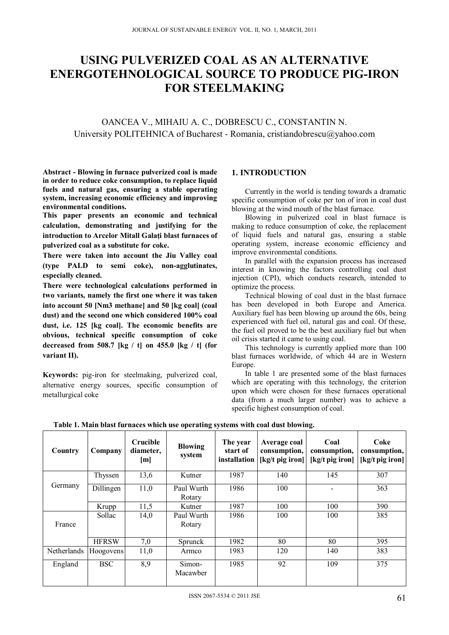# **USING PULVERIZED COAL AS AN ALTERNATIVE ENERGOTEHNOLOGICAL SOURCE TO PRODUCE PIG-IRON FOR STEELMAKING**

OANCEA V., MIHAIU A. C., DOBRESCU C., CONSTANTIN N. University POLITEHNICA of Bucharest - Romania, cristiandobrescu@yahoo.com

**Abstract - Blowing in furnace pulverized coal is made in order to reduce coke consumption, to replace liquid fuels and natural gas, ensuring a stable operating system, increasing economic efficiency and improving environmental conditions.** 

**This paper presents an economic and technical calculation, demonstrating and justifying for the introduction to Arcelor Mitall Galaţi blast furnaces of pulverized coal as a substitute for coke.** 

**There were taken into account the Jiu Valley coal (type PALD to semi coke), non-agglutinates, especially cleaned.** 

**There were technological calculations performed in two variants, namely the first one where it was taken into account 50 [Nm3 methane] and 50 [kg coal] (coal dust) and the second one which considered 100% coal dust, i.e. 125 [kg coal]. The economic benefits are obvious, technical specific consumption of coke decreased from 508.7 [kg / t] on 455.0 [kg / t] (for variant II).** 

**Keywords:** pig-iron for steelmaking, pulverized coal, alternative energy sources, specific consumption of metallurgical coke

#### **1. INTRODUCTION**

Currently in the world is tending towards a dramatic specific consumption of coke per ton of iron in coal dust blowing at the wind mouth of the blast furnace.

Blowing in pulverized coal in blast furnace is making to reduce consumption of coke, the replacement of liquid fuels and natural gas, ensuring a stable operating system, increase economic efficiency and improve environmental conditions.

In parallel with the expansion process has increased interest in knowing the factors controlling coal dust injection (CPI), which conducts research, intended to optimize the process.

Technical blowing of coal dust in the blast furnace has been developed in both Europe and America. Auxiliary fuel has been blowing up around the 60s, being experienced with fuel oil, natural gas and coal. Of these, the fuel oil proved to be the best auxiliary fuel but when oil crisis started it came to using coal.

This technology is currently applied more than 100 blast furnaces worldwide, of which 44 are in Western Europe.

In table 1 are presented some of the blast furnaces which are operating with this technology, the criterion upon which were chosen for these furnaces operational data (from a much larger number) was to achieve a specific highest consumption of coal.

| Country     | Company      | <b>Crucible</b><br>diameter,<br> m | <b>Blowing</b><br>system | The year<br>start of<br>installation | Average coal<br>consumption,<br>$[kg/t$ pig iron] | Coal<br>consumption,<br>[kg/t pig iron] | Coke<br>consumption,<br>$[kg/t$ pig iron] |
|-------------|--------------|------------------------------------|--------------------------|--------------------------------------|---------------------------------------------------|-----------------------------------------|-------------------------------------------|
|             | Thyssen      | 13,6                               | Kutner                   | 1987                                 | 140                                               | 145                                     | 307                                       |
| Germany     | Dillingen    | 11,0                               | Paul Wurth<br>Rotary     | 1986                                 | 100                                               |                                         | 363                                       |
|             | Krupp        | 11,5                               | Kutner                   | 1987                                 | 100                                               | 100                                     | 390                                       |
| France      | Sollac       | 14,0                               | Paul Wurth<br>Rotary     | 1986                                 | 100                                               | 100                                     | 385                                       |
|             | <b>HFRSW</b> | 7,0                                | <b>Sprunck</b>           | 1982                                 | 80                                                | 80                                      | 395                                       |
| Netherlands | Hoogovens    | 11,0                               | Armco                    | 1983                                 | 120                                               | 140                                     | 383                                       |
| England     | <b>BSC</b>   | 8,9                                | Simon-<br>Macawber       | 1985                                 | 92                                                | 109                                     | 375                                       |

**Table 1. Main blast furnaces which use operating systems with coal dust blowing.**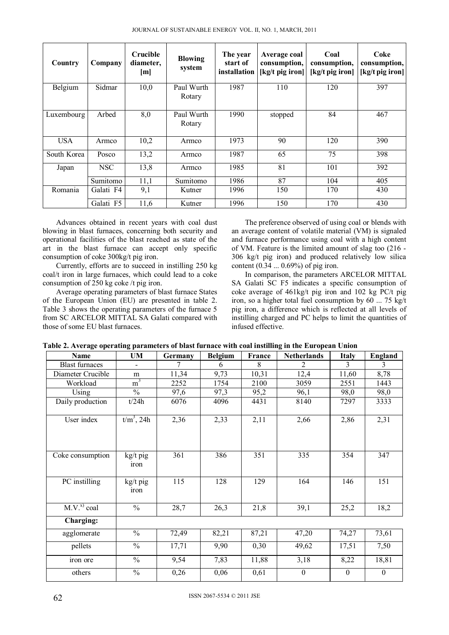| JOURNAL OF SUSTAINABLE ENERGY VOL. II, NO. 1, MARCH, 2011 |  |
|-----------------------------------------------------------|--|
|-----------------------------------------------------------|--|

| Country     | Company    | <b>Crucible</b><br>diameter,<br>[m] | <b>Blowing</b><br>system | The year<br>start of<br>installation | Average coal<br>consumption,<br>$[kg/t$ pig iron] | Coal<br>consumption,<br>[kg/t pig iron] | Coke<br>consumption,<br>$[kg/t$ pig iron] |
|-------------|------------|-------------------------------------|--------------------------|--------------------------------------|---------------------------------------------------|-----------------------------------------|-------------------------------------------|
| Belgium     | Sidmar     | 10,0                                | Paul Wurth<br>Rotary     | 1987                                 | 110                                               | 120                                     | 397                                       |
| Luxembourg  | Arbed      | 8,0                                 | Paul Wurth<br>Rotary     | 1990                                 | stopped                                           | 84                                      | 467                                       |
| <b>USA</b>  | Armco      | 10,2                                | Armco                    | 1973                                 | 90                                                | 120                                     | 390                                       |
| South Korea | Posco      | 13,2                                | Armco                    | 1987                                 | 65                                                | 75                                      | 398                                       |
| Japan       | <b>NSC</b> | 13,8                                | Armco                    | 1985                                 | 81                                                | 101                                     | 392                                       |
|             | Sumitomo   | 11,1                                | Sumitomo                 | 1986                                 | 87                                                | 104                                     | 405                                       |
| Romania     | Galati F4  | 9,1                                 | Kutner                   | 1996                                 | 150                                               | 170                                     | 430                                       |
|             | Galati F5  | 11,6                                | Kutner                   | 1996                                 | 150                                               | 170                                     | 430                                       |

Advances obtained in recent years with coal dust blowing in blast furnaces, concerning both security and operational facilities of the blast reached as state of the art in the blast furnace can accept only specific consumption of coke 300kg/t pig iron.

Currently, efforts are to succeed in instilling 250 kg coal/t iron in large furnaces, which could lead to a coke consumption of 250 kg coke /t pig iron.

Average operating parameters of blast furnace States of the European Union (EU) are presented in table 2. Table 3 shows the operating parameters of the furnace 5 from SC ARCELOR MITTAL SA Galati compared with those of some EU blast furnaces.

The preference observed of using coal or blends with an average content of volatile material (VM) is signaled and furnace performance using coal with a high content of VM. Feature is the limited amount of slag too (216 - 306 kg/t pig iron) and produced relatively low silica content (0.34 ... 0.69%) of pig iron.

In comparison, the parameters ARCELOR MITTAL SA Galati SC F5 indicates a specific consumption of coke average of 461kg/t pig iron and 102 kg PC/t pig iron, so a higher total fuel consumption by 60 ... 75 kg/t pig iron, a difference which is reflected at all levels of instilling charged and PC helps to limit the quantities of infused effective.

| Name                  | UM               | Germany          | <b>Belgium</b> | France | <b>Netherlands</b> | <b>Italy</b>     | <b>England</b>   |
|-----------------------|------------------|------------------|----------------|--------|--------------------|------------------|------------------|
| <b>Blast furnaces</b> |                  | 7                | 6              | 8      | 2                  | 3                | 3                |
| Diameter Crucible     | m                | 11,34            | 9,73           | 10,31  | 12,4               | 11,60            | 8,78             |
| Workload              | m <sup>3</sup>   | 2252             | 1754           | 2100   | 3059               | 2551             | 1443             |
| Using                 | $\frac{0}{0}$    | 97,6             | 97,3           | 95,2   | 96,1               | 98,0             | 98,0             |
| Daily production      | t/24h            | 6076             | 4096           | 4431   | 8140               | 7297             | 3333             |
| User index            | $t/m3$ , 24h     | 2,36             | 2,33           | 2,11   | 2,66               | 2,86             | 2,31             |
| Coke consumption      | kg/t pig<br>iron | 361              | 386            | 351    | 335                | 354              | 347              |
| PC instilling         | kg/t pig<br>iron | $\overline{115}$ | 128            | 129    | 164                | 146              | 151              |
| $M.V.x$ coal          | $\frac{0}{0}$    | 28,7             | 26,3           | 21,8   | 39,1               | 25,2             | 18,2             |
| Charging:             |                  |                  |                |        |                    |                  |                  |
| agglomerate           | $\frac{0}{0}$    | 72,49            | 82,21          | 87,21  | 47,20              | 74,27            | 73,61            |
| pellets               | $\frac{0}{0}$    | 17,71            | 9,90           | 0,30   | 49,62              | 17,51            | 7,50             |
| iron ore              | $\frac{0}{0}$    | 9,54             | 7,83           | 11,88  | 3,18               | 8,22             | 18,81            |
| others                | $\frac{0}{0}$    | 0,26             | 0,06           | 0,61   | $\boldsymbol{0}$   | $\boldsymbol{0}$ | $\boldsymbol{0}$ |

**Table 2. Average operating parameters of blast furnace with coal instilling in the European Union**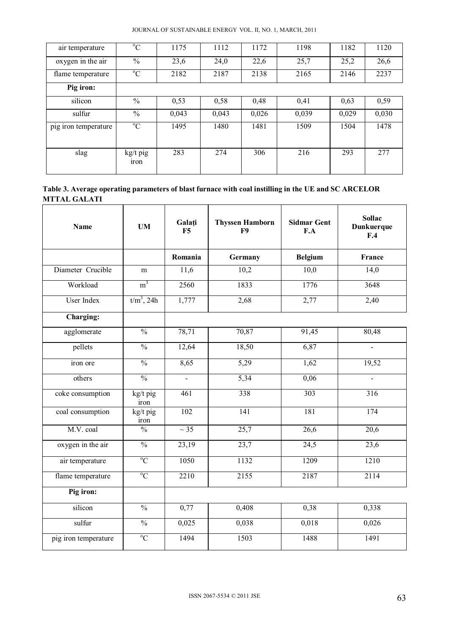| air temperature      | $\rm ^{o}C$             | 1175  | 1112  | 1172  | 1198  | 1182  | 1120  |
|----------------------|-------------------------|-------|-------|-------|-------|-------|-------|
| oxygen in the air    | $\frac{0}{0}$           | 23,6  | 24,0  | 22,6  | 25,7  | 25,2  | 26,6  |
| flame temperature    | $^{\circ}C$             | 2182  | 2187  | 2138  | 2165  | 2146  | 2237  |
| Pig iron:            |                         |       |       |       |       |       |       |
| silicon              | $\frac{0}{0}$           | 0,53  | 0,58  | 0,48  | 0,41  | 0,63  | 0,59  |
| sulfur               | $\frac{0}{0}$           | 0,043 | 0,043 | 0,026 | 0,039 | 0,029 | 0,030 |
| pig iron temperature | $\rm ^{o}C$             | 1495  | 1480  | 1481  | 1509  | 1504  | 1478  |
|                      |                         |       |       |       |       |       |       |
| slag                 | kg/t pig<br><i>iron</i> | 283   | 274   | 306   | 216   | 293   | 277   |

| Table 3. Average operating parameters of blast furnace with coal instilling in the UE and SC ARCELOR |  |
|------------------------------------------------------------------------------------------------------|--|
| <b>MTTAL GALATI</b>                                                                                  |  |

| <b>Name</b>          | <b>UM</b>                | Galați<br>F5             | <b>Thyssen Hamborn</b><br>F <sub>9</sub> | <b>Sidmar Gent</b><br>F.A | <b>Sollac</b><br>Dunkuerque<br>F.4 |
|----------------------|--------------------------|--------------------------|------------------------------------------|---------------------------|------------------------------------|
|                      |                          | Romania                  | Germany                                  | <b>Belgium</b>            | France                             |
| Diameter Crucible    | m                        | 11,6                     | 10,2                                     | 10,0                      | 14,0                               |
| Workload             | m <sup>3</sup>           | 2560                     | 1833                                     | 1776                      | 3648                               |
| User Index           | $t/m^3$ , 24h            | 1,777                    | 2,68                                     | 2,77                      | 2,40                               |
| Charging:            |                          |                          |                                          |                           |                                    |
| agglomerate          | $\frac{0}{0}$            | 78,71                    | 70,87                                    | 91,45                     | 80,48                              |
| pellets              | $\frac{0}{0}$            | 12,64                    | 18,50                                    | 6,87                      | $\blacksquare$                     |
| iron ore             | $\overline{\frac{0}{0}}$ | 8,65                     | 5,29                                     | 1,62                      | 19,52                              |
| others               | $\frac{0}{0}$            | $\overline{\phantom{a}}$ | 5,34                                     | 0,06                      |                                    |
| coke consumption     | kg/t pig<br>iron         | 461                      | 338                                      | $\overline{303}$          | 316                                |
| coal consumption     | kg/t pig<br>iron         | 102                      | $\overline{141}$                         | 181                       | $\overline{174}$                   |
| M.V. coal            | $\frac{0}{0}$            | $\sim$ 35                | 25,7                                     | 26,6                      | 20,6                               |
| oxygen in the air    | $\frac{0}{0}$            | 23,19                    | 23,7                                     | 24,5                      | 23,6                               |
| air temperature      | $\overline{C}$           | 1050                     | 1132                                     | 1209                      | 1210                               |
| flame temperature    | $\rm ^{o}C$              | 2210                     | 2155                                     | 2187                      | 2114                               |
| Pig iron:            |                          |                          |                                          |                           |                                    |
| silicon              | $\frac{0}{0}$            | 0,77                     | 0,408                                    | 0,38                      | 0,338                              |
| sulfur               | $\overline{\frac{0}{0}}$ | 0,025                    | 0,038                                    | 0,018                     | 0,026                              |
| pig iron temperature | $\overline{C}$           | 1494                     | 1503                                     | 1488                      | 1491                               |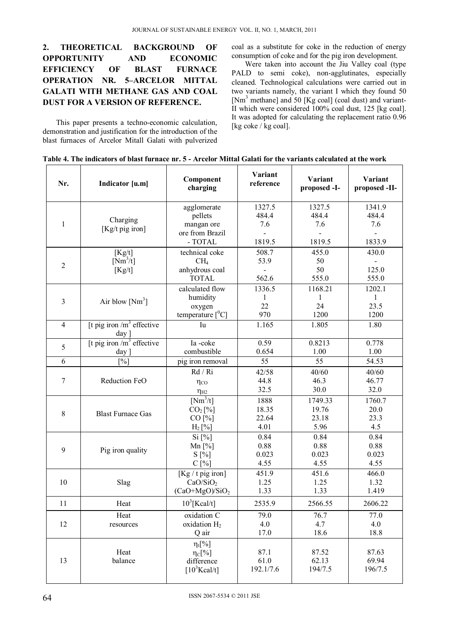## **2. THEORETICAL BACKGROUND OF OPPORTUNITY AND ECONOMIC EFFICIENCY OF BLAST FURNACE OPERATION NR. 5–ARCELOR MITTAL GALATI WITH METHANE GAS AND COAL DUST FOR A VERSION OF REFERENCE.**

This paper presents a techno-economic calculation, demonstration and justification for the introduction of the blast furnaces of Arcelor Mitall Galati with pulverized coal as a substitute for coke in the reduction of energy consumption of coke and for the pig iron development.

Were taken into account the Jiu Valley coal (type PALD to semi coke), non-agglutinates, especially cleaned*.* Technological calculations were carried out in two variants namely, the variant I which they found 50 [Nm<sup>3</sup> methane] and 50 [Kg coal] (coal dust) and variant-II which were considered 100% coal dust, 125 [kg coal]. It was adopted for calculating the replacement ratio 0.96 [kg coke / kg coal].

|  | Table 4. The indicators of blast furnace nr. 5 - Arcelor Mittal Galati for the variants calculated at the work |
|--|----------------------------------------------------------------------------------------------------------------|
|--|----------------------------------------------------------------------------------------------------------------|

| Nr.            | Indicator [u.m]                         | Component<br>charging                                               |                                  | Variant<br>proposed -I-           | Variant<br>proposed -II-               |
|----------------|-----------------------------------------|---------------------------------------------------------------------|----------------------------------|-----------------------------------|----------------------------------------|
| 1              | Charging<br>[ $Kg/t$ pig iron]          | agglomerate<br>pellets<br>mangan ore<br>ore from Brazil<br>- TOTAL  | 1327.5<br>484.4<br>7.6<br>1819.5 | 1327.5<br>484.4<br>7.6<br>1819.5  | 1341.9<br>484.4<br>7.6<br>1833.9       |
| $\overline{2}$ | [Kg/t]<br>$[Nm^3/t]$<br>[Kg/t]          | technical coke<br>CH <sub>4</sub><br>anhydrous coal<br><b>TOTAL</b> | 508.7<br>53.9<br>562.6           | 455.0<br>50<br>50<br>555.0        | 430.0<br>125.0<br>555.0                |
| 3              | Air blow $[Nm^3]$                       | calculated flow<br>humidity<br>oxygen<br>temperature $[{}^{0}C]$    | 1336.5<br>1<br>22<br>970         | 1168.21<br>1<br>24<br>1200        | 1202.1<br>$\mathbf{1}$<br>23.5<br>1200 |
| $\overline{4}$ | [t pig iron $/m^3$ effective<br>$day$ ] | Iu                                                                  | 1.165                            | 1.805                             | 1.80                                   |
| 5              | [t pig iron $/m^3$ effective<br>$day$ ] | Ia-coke<br>combustible                                              | 0.59<br>0.654                    | 0.8213<br>1.00                    | 0.778<br>1.00                          |
| 6              | $[\%]$                                  | pig iron removal                                                    | 55                               | 55                                | 54.53                                  |
| 7              | Reduction FeO                           | Rd / Ri<br>$\eta_{CO}$<br>$\eta_{H2}$                               | 42/58<br>44.8<br>32.5            | 40/60<br>46.3<br>30.0             | 40/60<br>46.77<br>32.0                 |
| $\,$ 8 $\,$    | <b>Blast Furnace Gas</b>                | $[Nm^3/t]$<br>CO <sub>2</sub> [%]<br>CO [%]<br>$H_2$ [%]            | 1888<br>18.35<br>22.64<br>4.01   | 1749.33<br>19.76<br>23.18<br>5.96 | 1760.7<br>20.0<br>23.3<br>4.5          |
| 9              | Pig iron quality                        | Si [%]<br>Mn $[%]$<br>$S[\%]$<br>C[%]                               | 0.84<br>0.88<br>0.023<br>4.55    | 0.84<br>0.88<br>0.023<br>4.55     | 0.84<br>0.88<br>0.023<br>4.55          |
| 10             | Slag                                    | $[Kg/t$ pig iron]<br>CaO/SiO <sub>2</sub><br>$(CaO+MgO)/SiO2$       | 451.9<br>1.25<br>1.33            | 451.6<br>1.25<br>1.33             | 466.0<br>1.32<br>1.419                 |
| 11             | Heat                                    | $10^3$ [Kcal/t]                                                     | 2535.9                           | 2566.55                           | 2606.22                                |
| 12             | Heat<br>resources                       | oxidation C<br>oxidation $H_2$<br>Q air                             | 79.0<br>4.0<br>17.0              | 76.7<br>4.7<br>18.6               | 77.0<br>4.0<br>18.8                    |
| 13             | Heat<br>balance                         | $\eta_t[\%]$<br>$\eta_C[\%]$<br>difference<br>$[10^3$ Kcal/t]       | 87.1<br>61.0<br>192.1/7.6        | 87.52<br>62.13<br>194/7.5         | 87.63<br>69.94<br>196/7.5              |